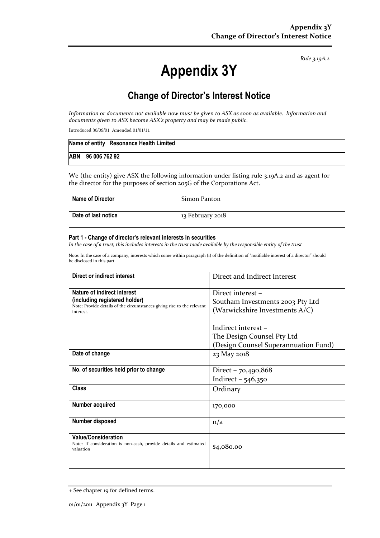Rule 3.19A.2

# Appendix 3Y

# Change of Director's Interest Notice

Information or documents not available now must be given to ASX as soon as available. Information and documents given to ASX become ASX's property and may be made public.

Introduced 30/09/01 Amended 01/01/11

|                   | Name of entity Resonance Health Limited |
|-------------------|-----------------------------------------|
| ABN 96 006 762 92 |                                         |

We (the entity) give ASX the following information under listing rule 3.19A.2 and as agent for the director for the purposes of section 205G of the Corporations Act.

| <b>Name of Director</b> | Simon Panton     |
|-------------------------|------------------|
| Date of last notice     | 13 February 2018 |

#### Part 1 - Change of director's relevant interests in securities

In the case of a trust, this includes interests in the trust made available by the responsible entity of the trust

Note: In the case of a company, interests which come within paragraph (i) of the definition of "notifiable interest of a director" should be disclosed in this part.

| Direct or indirect interest                                                         | Direct and Indirect Interest         |  |
|-------------------------------------------------------------------------------------|--------------------------------------|--|
| Nature of indirect interest                                                         | Direct interest -                    |  |
| (including registered holder)                                                       | Southam Investments 2003 Pty Ltd     |  |
| Note: Provide details of the circumstances giving rise to the relevant<br>interest. | (Warwickshire Investments A/C)       |  |
|                                                                                     |                                      |  |
|                                                                                     | Indirect interest -                  |  |
|                                                                                     | The Design Counsel Pty Ltd           |  |
|                                                                                     | (Design Counsel Superannuation Fund) |  |
| Date of change                                                                      | 23 May 2018                          |  |
|                                                                                     |                                      |  |
| No. of securities held prior to change                                              | Direct $-70,490,868$                 |  |
|                                                                                     | Indirect $-546,350$                  |  |
| Class                                                                               | Ordinary                             |  |
|                                                                                     |                                      |  |
| Number acquired                                                                     | 170,000                              |  |
|                                                                                     |                                      |  |
| Number disposed                                                                     | n/a                                  |  |
| <b>Value/Consideration</b>                                                          |                                      |  |
| Note: If consideration is non-cash, provide details and estimated                   | \$4,080.00                           |  |
| valuation                                                                           |                                      |  |
|                                                                                     |                                      |  |
|                                                                                     |                                      |  |

<sup>+</sup> See chapter 19 for defined terms.